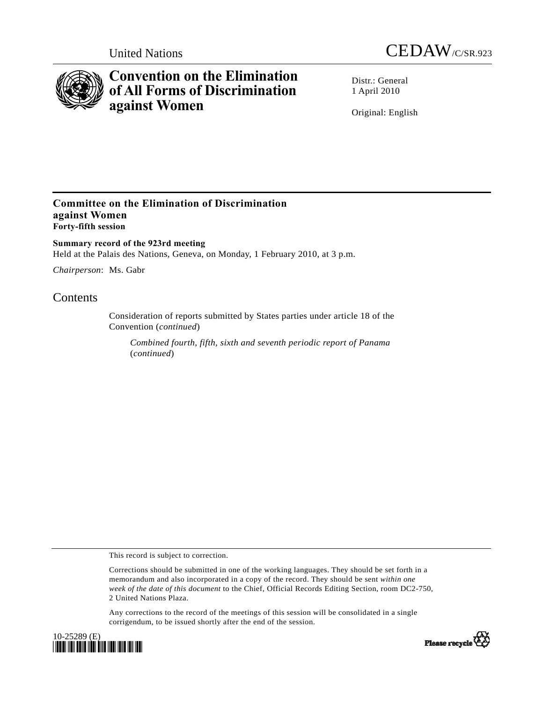



# **Convention on the Elimination of All Forms of Discrimination against Women**

Distr · General 1 April 2010

Original: English

## **Committee on the Elimination of Discrimination against Women Forty-fifth session**

**Summary record of the 923rd meeting**  Held at the Palais des Nations, Geneva, on Monday, 1 February 2010, at 3 p.m.

*Chairperson*: Ms. Gabr

# **Contents**

Consideration of reports submitted by States parties under article 18 of the Convention (*continued*)

*Combined fourth, fifth, sixth and seventh periodic report of Panama*  (*continued*)

This record is subject to correction.

Corrections should be submitted in one of the working languages. They should be set forth in a memorandum and also incorporated in a copy of the record. They should be sent *within one week of the date of this document* to the Chief, Official Records Editing Section, room DC2-750, 2 United Nations Plaza.

Any corrections to the record of the meetings of this session will be consolidated in a single corrigendum, to be issued shortly after the end of the session.



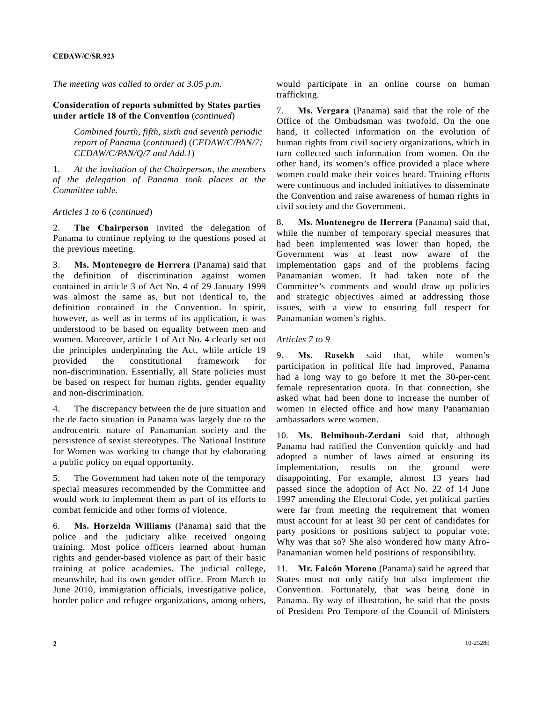*The meeting was called to order at 3.05 p.m.* 

#### **Consideration of reports submitted by States parties under article 18 of the Convention** (*continued*)

 *Combined fourth, fifth, sixth and seventh periodic report of Panama* (*continued*) (*CEDAW/C/PAN/7; CEDAW/C/PAN/Q/7 and Add.1*)

1. *At the invitation of the Chairperson, the members of the delegation of Panama took places at the Committee table.*

*Articles 1 to 6* (*continued*)

2. **The Chairperson** invited the delegation of Panama to continue replying to the questions posed at the previous meeting.

3. **Ms. Montenegro de Herrera** (Panama) said that the definition of discrimination against women contained in article 3 of Act No. 4 of 29 January 1999 was almost the same as, but not identical to, the definition contained in the Convention. In spirit, however, as well as in terms of its application, it was understood to be based on equality between men and women. Moreover, article 1 of Act No. 4 clearly set out the principles underpinning the Act, while article 19 provided the constitutional framework for non-discrimination. Essentially, all State policies must be based on respect for human rights, gender equality and non-discrimination.

4. The discrepancy between the de jure situation and the de facto situation in Panama was largely due to the androcentric nature of Panamanian society and the persistence of sexist stereotypes. The National Institute for Women was working to change that by elaborating a public policy on equal opportunity.

5. The Government had taken note of the temporary special measures recommended by the Committee and would work to implement them as part of its efforts to combat femicide and other forms of violence.

6. **Ms. Horzelda Williams** (Panama) said that the police and the judiciary alike received ongoing training. Most police officers learned about human rights and gender-based violence as part of their basic training at police academies. The judicial college, meanwhile, had its own gender office. From March to June 2010, immigration officials, investigative police, border police and refugee organizations, among others,

would participate in an online course on human trafficking.

7. **Ms. Vergara** (Panama) said that the role of the Office of the Ombudsman was twofold. On the one hand, it collected information on the evolution of human rights from civil society organizations, which in turn collected such information from women. On the other hand, its women's office provided a place where women could make their voices heard. Training efforts were continuous and included initiatives to disseminate the Convention and raise awareness of human rights in civil society and the Government.

8. **Ms. Montenegro de Herrera** (Panama) said that, while the number of temporary special measures that had been implemented was lower than hoped, the Government was at least now aware of the implementation gaps and of the problems facing Panamanian women. It had taken note of the Committee's comments and would draw up policies and strategic objectives aimed at addressing those issues, with a view to ensuring full respect for Panamanian women's rights.

#### *Articles 7 to 9*

9. **Ms. Rasekh** said that, while women's participation in political life had improved, Panama had a long way to go before it met the 30-per-cent female representation quota. In that connection, she asked what had been done to increase the number of women in elected office and how many Panamanian ambassadors were women.

10. **Ms. Belmihoub-Zerdani** said that, although Panama had ratified the Convention quickly and had adopted a number of laws aimed at ensuring its implementation, results on the ground were disappointing. For example, almost 13 years had passed since the adoption of Act No. 22 of 14 June 1997 amending the Electoral Code, yet political parties were far from meeting the requirement that women must account for at least 30 per cent of candidates for party positions or positions subject to popular vote. Why was that so? She also wondered how many Afro-Panamanian women held positions of responsibility.

11. **Mr. Falcón Moreno** (Panama) said he agreed that States must not only ratify but also implement the Convention. Fortunately, that was being done in Panama. By way of illustration, he said that the posts of President Pro Tempore of the Council of Ministers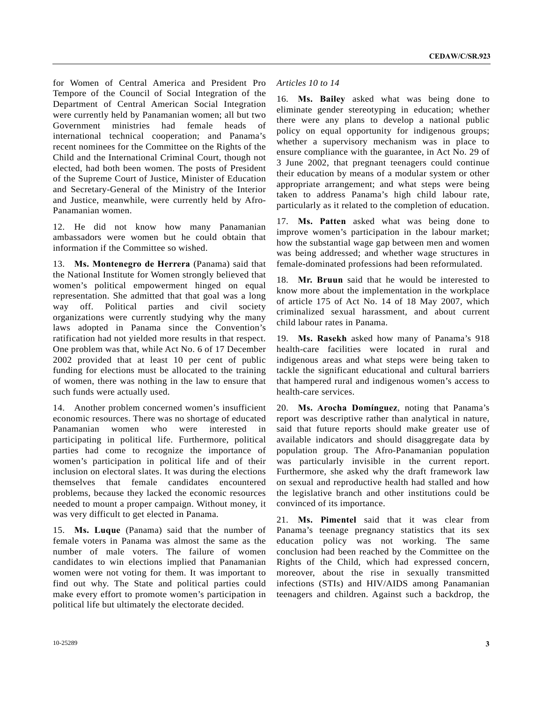for Women of Central America and President Pro Tempore of the Council of Social Integration of the Department of Central American Social Integration were currently held by Panamanian women; all but two Government ministries had female heads of international technical cooperation; and Panama's recent nominees for the Committee on the Rights of the Child and the International Criminal Court, though not elected, had both been women. The posts of President of the Supreme Court of Justice, Minister of Education and Secretary-General of the Ministry of the Interior and Justice, meanwhile, were currently held by Afro-Panamanian women.

12. He did not know how many Panamanian ambassadors were women but he could obtain that information if the Committee so wished.

13. **Ms. Montenegro de Herrera** (Panama) said that the National Institute for Women strongly believed that women's political empowerment hinged on equal representation. She admitted that that goal was a long way off. Political parties and civil society organizations were currently studying why the many laws adopted in Panama since the Convention's ratification had not yielded more results in that respect. One problem was that, while Act No. 6 of 17 December 2002 provided that at least 10 per cent of public funding for elections must be allocated to the training of women, there was nothing in the law to ensure that such funds were actually used.

14. Another problem concerned women's insufficient economic resources. There was no shortage of educated Panamanian women who were interested in participating in political life. Furthermore, political parties had come to recognize the importance of women's participation in political life and of their inclusion on electoral slates. It was during the elections themselves that female candidates encountered problems, because they lacked the economic resources needed to mount a proper campaign. Without money, it was very difficult to get elected in Panama.

15. **Ms. Luque** (Panama) said that the number of female voters in Panama was almost the same as the number of male voters. The failure of women candidates to win elections implied that Panamanian women were not voting for them. It was important to find out why. The State and political parties could make every effort to promote women's participation in political life but ultimately the electorate decided.

### *Articles 10 to 14*

16. **Ms. Bailey** asked what was being done to eliminate gender stereotyping in education; whether there were any plans to develop a national public policy on equal opportunity for indigenous groups; whether a supervisory mechanism was in place to ensure compliance with the guarantee, in Act No. 29 of 3 June 2002, that pregnant teenagers could continue their education by means of a modular system or other appropriate arrangement; and what steps were being taken to address Panama's high child labour rate, particularly as it related to the completion of education.

17. **Ms. Patten** asked what was being done to improve women's participation in the labour market; how the substantial wage gap between men and women was being addressed; and whether wage structures in female-dominated professions had been reformulated.

18. **Mr. Bruun** said that he would be interested to know more about the implementation in the workplace of article 175 of Act No. 14 of 18 May 2007, which criminalized sexual harassment, and about current child labour rates in Panama.

19. **Ms. Rasekh** asked how many of Panama's 918 health-care facilities were located in rural and indigenous areas and what steps were being taken to tackle the significant educational and cultural barriers that hampered rural and indigenous women's access to health-care services.

20. **Ms. Arocha Domínguez**, noting that Panama's report was descriptive rather than analytical in nature, said that future reports should make greater use of available indicators and should disaggregate data by population group. The Afro-Panamanian population was particularly invisible in the current report. Furthermore, she asked why the draft framework law on sexual and reproductive health had stalled and how the legislative branch and other institutions could be convinced of its importance.

21. **Ms. Pimentel** said that it was clear from Panama's teenage pregnancy statistics that its sex education policy was not working. The same conclusion had been reached by the Committee on the Rights of the Child, which had expressed concern, moreover, about the rise in sexually transmitted infections (STIs) and HIV/AIDS among Panamanian teenagers and children. Against such a backdrop, the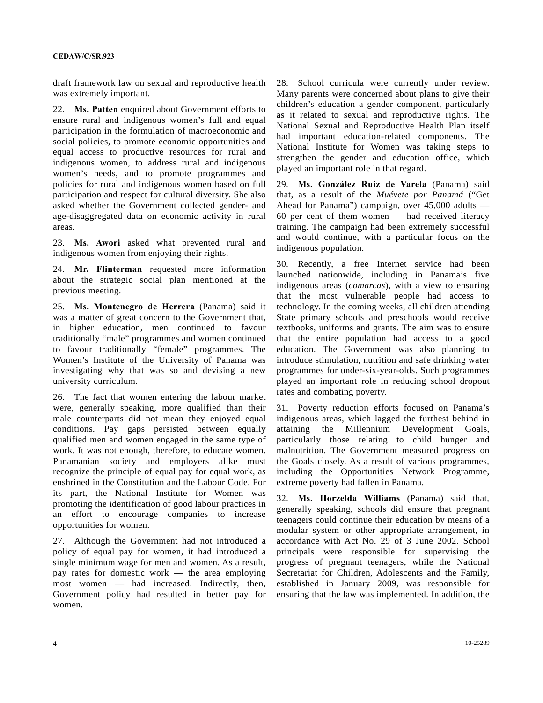draft framework law on sexual and reproductive health was extremely important.

22. **Ms. Patten** enquired about Government efforts to ensure rural and indigenous women's full and equal participation in the formulation of macroeconomic and social policies, to promote economic opportunities and equal access to productive resources for rural and indigenous women, to address rural and indigenous women's needs, and to promote programmes and policies for rural and indigenous women based on full participation and respect for cultural diversity. She also asked whether the Government collected gender- and age-disaggregated data on economic activity in rural areas.

23. **Ms. Awori** asked what prevented rural and indigenous women from enjoying their rights.

24. **Mr. Flinterman** requested more information about the strategic social plan mentioned at the previous meeting.

25. **Ms. Montenegro de Herrera** (Panama) said it was a matter of great concern to the Government that, in higher education, men continued to favour traditionally "male" programmes and women continued to favour traditionally "female" programmes. The Women's Institute of the University of Panama was investigating why that was so and devising a new university curriculum.

26. The fact that women entering the labour market were, generally speaking, more qualified than their male counterparts did not mean they enjoyed equal conditions. Pay gaps persisted between equally qualified men and women engaged in the same type of work. It was not enough, therefore, to educate women. Panamanian society and employers alike must recognize the principle of equal pay for equal work, as enshrined in the Constitution and the Labour Code. For its part, the National Institute for Women was promoting the identification of good labour practices in an effort to encourage companies to increase opportunities for women.

27. Although the Government had not introduced a policy of equal pay for women, it had introduced a single minimum wage for men and women. As a result, pay rates for domestic work — the area employing most women — had increased. Indirectly, then, Government policy had resulted in better pay for women.

28. School curricula were currently under review. Many parents were concerned about plans to give their children's education a gender component, particularly as it related to sexual and reproductive rights. The National Sexual and Reproductive Health Plan itself had important education-related components. The National Institute for Women was taking steps to strengthen the gender and education office, which played an important role in that regard.

29. **Ms. González Ruiz de Varela** (Panama) said that, as a result of the *Muévete por Panamá* ("Get Ahead for Panama") campaign, over 45,000 adults — 60 per cent of them women — had received literacy training. The campaign had been extremely successful and would continue, with a particular focus on the indigenous population.

30. Recently, a free Internet service had been launched nationwide, including in Panama's five indigenous areas (*comarcas*), with a view to ensuring that the most vulnerable people had access to technology. In the coming weeks, all children attending State primary schools and preschools would receive textbooks, uniforms and grants. The aim was to ensure that the entire population had access to a good education. The Government was also planning to introduce stimulation, nutrition and safe drinking water programmes for under-six-year-olds. Such programmes played an important role in reducing school dropout rates and combating poverty.

31. Poverty reduction efforts focused on Panama's indigenous areas, which lagged the furthest behind in attaining the Millennium Development Goals, particularly those relating to child hunger and malnutrition. The Government measured progress on the Goals closely. As a result of various programmes, including the Opportunities Network Programme, extreme poverty had fallen in Panama.

32. **Ms. Horzelda Williams** (Panama) said that, generally speaking, schools did ensure that pregnant teenagers could continue their education by means of a modular system or other appropriate arrangement, in accordance with Act No. 29 of 3 June 2002. School principals were responsible for supervising the progress of pregnant teenagers, while the National Secretariat for Children, Adolescents and the Family, established in January 2009, was responsible for ensuring that the law was implemented. In addition, the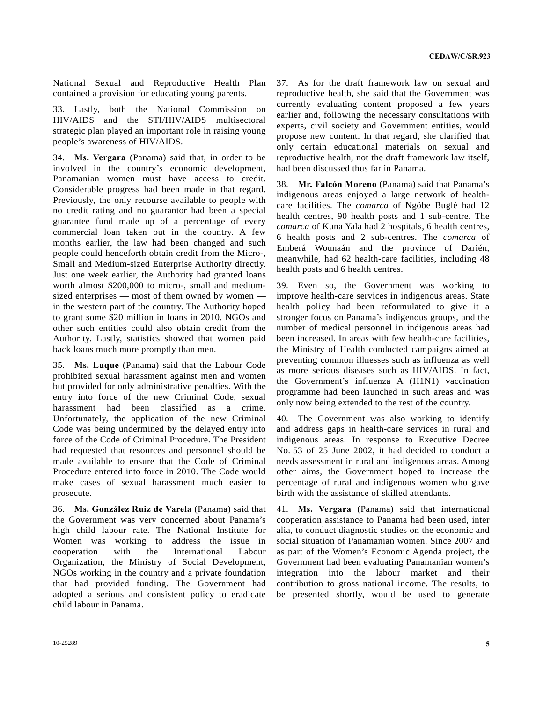National Sexual and Reproductive Health Plan contained a provision for educating young parents.

33. Lastly, both the National Commission on HIV/AIDS and the STI/HIV/AIDS multisectoral strategic plan played an important role in raising young people's awareness of HIV/AIDS.

34. **Ms. Vergara** (Panama) said that, in order to be involved in the country's economic development, Panamanian women must have access to credit. Considerable progress had been made in that regard. Previously, the only recourse available to people with no credit rating and no guarantor had been a special guarantee fund made up of a percentage of every commercial loan taken out in the country. A few months earlier, the law had been changed and such people could henceforth obtain credit from the Micro-, Small and Medium-sized Enterprise Authority directly. Just one week earlier, the Authority had granted loans worth almost \$200,000 to micro-, small and mediumsized enterprises — most of them owned by women in the western part of the country. The Authority hoped to grant some \$20 million in loans in 2010. NGOs and other such entities could also obtain credit from the Authority. Lastly, statistics showed that women paid back loans much more promptly than men.

35. **Ms. Luque** (Panama) said that the Labour Code prohibited sexual harassment against men and women but provided for only administrative penalties. With the entry into force of the new Criminal Code, sexual harassment had been classified as a crime. Unfortunately, the application of the new Criminal Code was being undermined by the delayed entry into force of the Code of Criminal Procedure. The President had requested that resources and personnel should be made available to ensure that the Code of Criminal Procedure entered into force in 2010. The Code would make cases of sexual harassment much easier to prosecute.

36. **Ms. González Ruiz de Varela** (Panama) said that the Government was very concerned about Panama's high child labour rate. The National Institute for Women was working to address the issue in cooperation with the International Labour Organization, the Ministry of Social Development, NGOs working in the country and a private foundation that had provided funding. The Government had adopted a serious and consistent policy to eradicate child labour in Panama.

37. As for the draft framework law on sexual and reproductive health, she said that the Government was currently evaluating content proposed a few years earlier and, following the necessary consultations with experts, civil society and Government entities, would propose new content. In that regard, she clarified that only certain educational materials on sexual and reproductive health, not the draft framework law itself, had been discussed thus far in Panama.

38. **Mr. Falcón Moreno** (Panama) said that Panama's indigenous areas enjoyed a large network of healthcare facilities. The *comarca* of Ngöbe Buglé had 12 health centres, 90 health posts and 1 sub-centre. The *comarca* of Kuna Yala had 2 hospitals, 6 health centres, 6 health posts and 2 sub-centres. The *comarca* of Emberá Wounaán and the province of Darién, meanwhile, had 62 health-care facilities, including 48 health posts and 6 health centres.

39. Even so, the Government was working to improve health-care services in indigenous areas. State health policy had been reformulated to give it a stronger focus on Panama's indigenous groups, and the number of medical personnel in indigenous areas had been increased. In areas with few health-care facilities, the Ministry of Health conducted campaigns aimed at preventing common illnesses such as influenza as well as more serious diseases such as HIV/AIDS. In fact, the Government's influenza A (H1N1) vaccination programme had been launched in such areas and was only now being extended to the rest of the country.

40. The Government was also working to identify and address gaps in health-care services in rural and indigenous areas. In response to Executive Decree No. 53 of 25 June 2002, it had decided to conduct a needs assessment in rural and indigenous areas. Among other aims, the Government hoped to increase the percentage of rural and indigenous women who gave birth with the assistance of skilled attendants.

41. **Ms. Vergara** (Panama) said that international cooperation assistance to Panama had been used, inter alia, to conduct diagnostic studies on the economic and social situation of Panamanian women. Since 2007 and as part of the Women's Economic Agenda project, the Government had been evaluating Panamanian women's integration into the labour market and their contribution to gross national income. The results, to be presented shortly, would be used to generate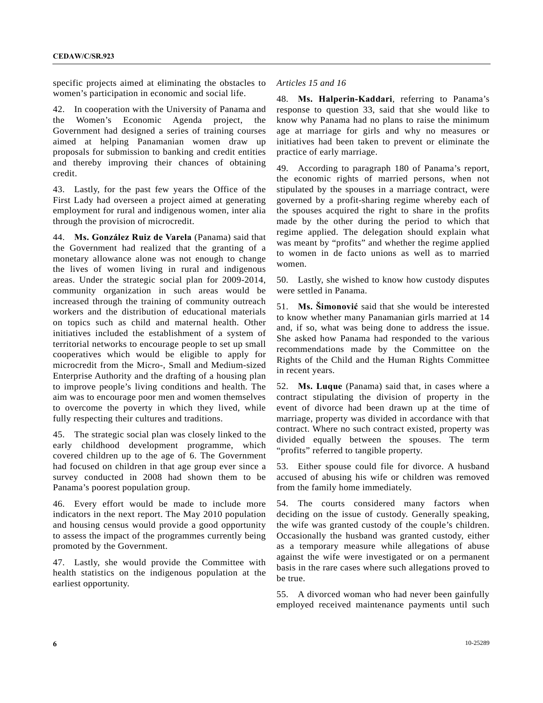specific projects aimed at eliminating the obstacles to women's participation in economic and social life.

42. In cooperation with the University of Panama and the Women's Economic Agenda project, the Government had designed a series of training courses aimed at helping Panamanian women draw up proposals for submission to banking and credit entities and thereby improving their chances of obtaining credit.

43. Lastly, for the past few years the Office of the First Lady had overseen a project aimed at generating employment for rural and indigenous women, inter alia through the provision of microcredit.

44. **Ms. González Ruiz de Varela** (Panama) said that the Government had realized that the granting of a monetary allowance alone was not enough to change the lives of women living in rural and indigenous areas. Under the strategic social plan for 2009-2014, community organization in such areas would be increased through the training of community outreach workers and the distribution of educational materials on topics such as child and maternal health. Other initiatives included the establishment of a system of territorial networks to encourage people to set up small cooperatives which would be eligible to apply for microcredit from the Micro-, Small and Medium-sized Enterprise Authority and the drafting of a housing plan to improve people's living conditions and health. The aim was to encourage poor men and women themselves to overcome the poverty in which they lived, while fully respecting their cultures and traditions.

45. The strategic social plan was closely linked to the early childhood development programme, which covered children up to the age of 6. The Government had focused on children in that age group ever since a survey conducted in 2008 had shown them to be Panama's poorest population group.

46. Every effort would be made to include more indicators in the next report. The May 2010 population and housing census would provide a good opportunity to assess the impact of the programmes currently being promoted by the Government.

47. Lastly, she would provide the Committee with health statistics on the indigenous population at the earliest opportunity.

## *Articles 15 and 16*

48. **Ms. Halperin-Kaddari**, referring to Panama's response to question 33, said that she would like to know why Panama had no plans to raise the minimum age at marriage for girls and why no measures or initiatives had been taken to prevent or eliminate the practice of early marriage.

49. According to paragraph 180 of Panama's report, the economic rights of married persons, when not stipulated by the spouses in a marriage contract, were governed by a profit-sharing regime whereby each of the spouses acquired the right to share in the profits made by the other during the period to which that regime applied. The delegation should explain what was meant by "profits" and whether the regime applied to women in de facto unions as well as to married women.

50. Lastly, she wished to know how custody disputes were settled in Panama.

51. **Ms. Šimonović** said that she would be interested to know whether many Panamanian girls married at 14 and, if so, what was being done to address the issue. She asked how Panama had responded to the various recommendations made by the Committee on the Rights of the Child and the Human Rights Committee in recent years.

52. **Ms. Luque** (Panama) said that, in cases where a contract stipulating the division of property in the event of divorce had been drawn up at the time of marriage, property was divided in accordance with that contract. Where no such contract existed, property was divided equally between the spouses. The term "profits" referred to tangible property.

53. Either spouse could file for divorce. A husband accused of abusing his wife or children was removed from the family home immediately.

54. The courts considered many factors when deciding on the issue of custody. Generally speaking, the wife was granted custody of the couple's children. Occasionally the husband was granted custody, either as a temporary measure while allegations of abuse against the wife were investigated or on a permanent basis in the rare cases where such allegations proved to be true.

55. A divorced woman who had never been gainfully employed received maintenance payments until such